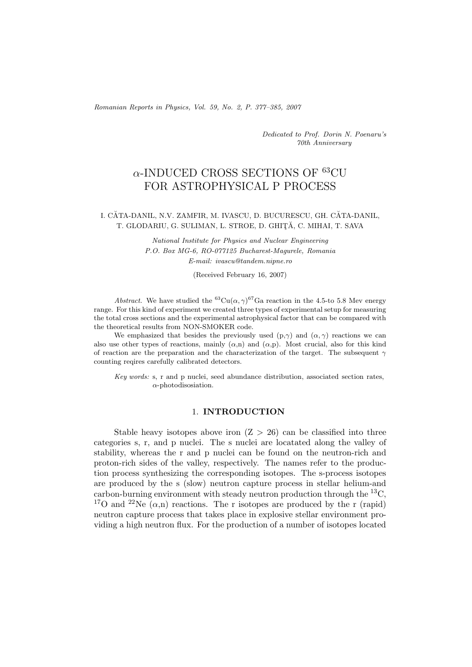*Romanian Reports in Physics, Vol. 59, No. 2, P. 377–385, 2007*

*Dedicated to Prof. Dorin N. Poenaru's 70th Anniversary*

# $\alpha$ -INDUCED CROSS SECTIONS OF  $^{63}$ CU FOR ASTROPHYSICAL P PROCESS

### I. CĂTA-DANIL, N.V. ZAMFIR, M. IVASCU, D. BUCURESCU, GH. CĂTA-DANIL, T. GLODARIU, G. SULIMAN, L. STROE, D. GHIȚĂ, C. MIHAI, T. SAVA

*National Institute for Physics and Nuclear Engineering P.O. Box MG-6, RO-077125 Bucharest-Magurele, Romania E-mail: ivascu@tandem.nipne.ro*

(Received February 16, 2007)

*Abstract.* We have studied the <sup>63</sup>Cu( $\alpha$ ,  $\gamma$ <sup>67</sup>Ga reaction in the 4.5-to 5.8 Mev energy range. For this kind of experiment we created three types of experimental setup for measuring the total cross sections and the experimental astrophysical factor that can be compared with the theoretical results from NON-SMOKER code.

We emphasized that besides the previously used  $(p,\gamma)$  and  $(\alpha, \gamma)$  reactions we can also use other types of reactions, mainly  $(\alpha, n)$  and  $(\alpha, p)$ . Most crucial, also for this kind of reaction are the preparation and the characterization of the target. The subsequent  $\gamma$ counting reqires carefully calibrated detectors.

*Key words:* s, r and p nuclei, seed abundance distribution, associated section rates,  $\alpha$ -photodisosiation.

# 1. **INTRODUCTION**

Stable heavy isotopes above iron  $(Z > 26)$  can be classified into three categories s, r, and p nuclei. The s nuclei are locatated along the valley of stability, whereas the r and p nuclei can be found on the neutron-rich and proton-rich sides of the valley, respectively. The names refer to the production process synthesizing the corresponding isotopes. The s-process isotopes are produced by the s (slow) neutron capture process in stellar helium-and carbon-burning environment with steady neutron production through the  ${}^{13}C$ . <sup>17</sup>O and <sup>22</sup>Ne  $(\alpha, n)$  reactions. The r isotopes are produced by the r (rapid) neutron capture process that takes place in explosive stellar environment providing a high neutron flux. For the production of a number of isotopes located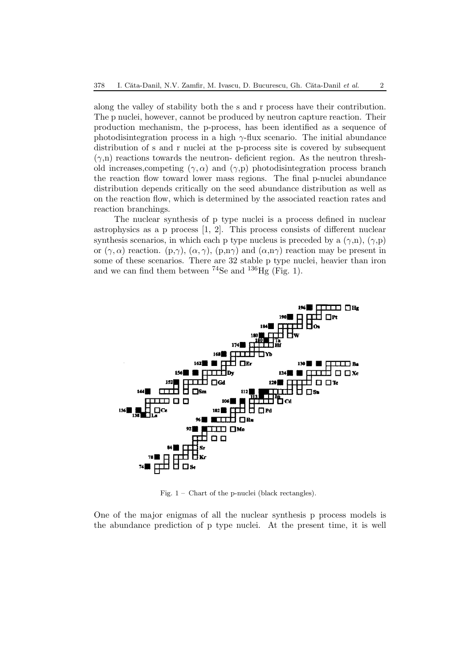along the valley of stability both the s and r process have their contribution. The p nuclei, however, cannot be produced by neutron capture reaction. Their production mechanism, the p-process, has been identified as a sequence of photodisintegration process in a high  $\gamma$ -flux scenario. The initial abundance distribution of s and r nuclei at the p-process site is covered by subsequent  $(\gamma,n)$  reactions towards the neutron- deficient region. As the neutron threshold increases, competing  $(\gamma, \alpha)$  and  $(\gamma, p)$  photodisintegration process branch the reaction flow toward lower mass regions. The final p-nuclei abundance distribution depends critically on the seed abundance distribution as well as on the reaction flow, which is determined by the associated reaction rates and reaction branchings.

The nuclear synthesis of p type nuclei is a process defined in nuclear astrophysics as a p process [1, 2]. This process consists of different nuclear synthesis scenarios, in which each p type nucleus is preceded by a  $(\gamma, n)$ ,  $(\gamma, p)$ or  $(\gamma, \alpha)$  reaction.  $(p, \gamma)$ ,  $(\alpha, \gamma)$ ,  $(p, n\gamma)$  and  $(\alpha, n\gamma)$  reaction may be present in some of these scenarios. There are 32 stable p type nuclei, heavier than iron and we can find them between  $^{74}$ Se and  $^{136}$ Hg (Fig. 1).



Fig. 1 – Chart of the p-nuclei (black rectangles).

One of the major enigmas of all the nuclear synthesis p process models is the abundance prediction of p type nuclei. At the present time, it is well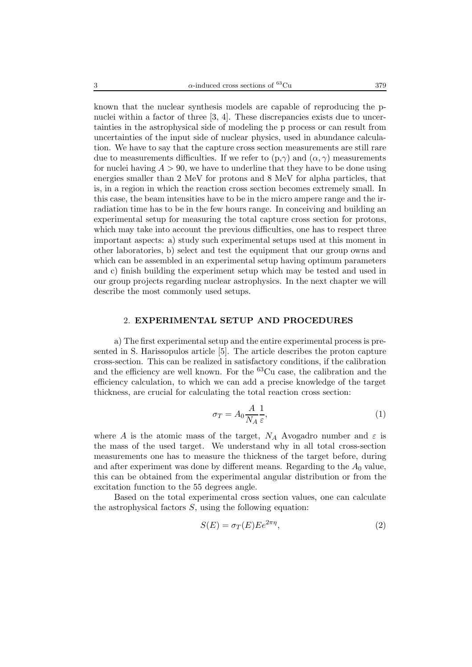known that the nuclear synthesis models are capable of reproducing the pnuclei within a factor of three [3, 4]. These discrepancies exists due to uncertainties in the astrophysical side of modeling the p process or can result from uncertainties of the input side of nuclear physics, used in abundance calculation. We have to say that the capture cross section measurements are still rare due to measurements difficulties. If we refer to  $(p, \gamma)$  and  $(\alpha, \gamma)$  measurements for nuclei having  $A > 90$ , we have to underline that they have to be done using energies smaller than 2 MeV for protons and 8 MeV for alpha particles, that is, in a region in which the reaction cross section becomes extremely small. In this case, the beam intensities have to be in the micro ampere range and the irradiation time has to be in the few hours range. In conceiving and building an experimental setup for measuring the total capture cross section for protons, which may take into account the previous difficulties, one has to respect three important aspects: a) study such experimental setups used at this moment in other laboratories, b) select and test the equipment that our group owns and which can be assembled in an experimental setup having optimum parameters and c) finish building the experiment setup which may be tested and used in our group projects regarding nuclear astrophysics. In the next chapter we will describe the most commonly used setups.

#### 2. **EXPERIMENTAL SETUP AND PROCEDURES**

a) The first experimental setup and the entire experimental process is presented in S. Harissopulos article [5]. The article describes the proton capture cross-section. This can be realized in satisfactory conditions, if the calibration and the efficiency are well known. For the  ${}^{63}Cu$  case, the calibration and the efficiency calculation, to which we can add a precise knowledge of the target thickness, are crucial for calculating the total reaction cross section:

$$
\sigma_T = A_0 \frac{A}{N_A} \frac{1}{\varepsilon},\tag{1}
$$

where A is the atomic mass of the target,  $N_A$  Avogadro number and  $\varepsilon$  is the mass of the used target. We understand why in all total cross-section measurements one has to measure the thickness of the target before, during and after experiment was done by different means. Regarding to the  $A_0$  value, this can be obtained from the experimental angular distribution or from the excitation function to the 55 degrees angle.

Based on the total experimental cross section values, one can calculate the astrophysical factors  $S$ , using the following equation:

$$
S(E) = \sigma_T(E) E e^{2\pi \eta}, \qquad (2)
$$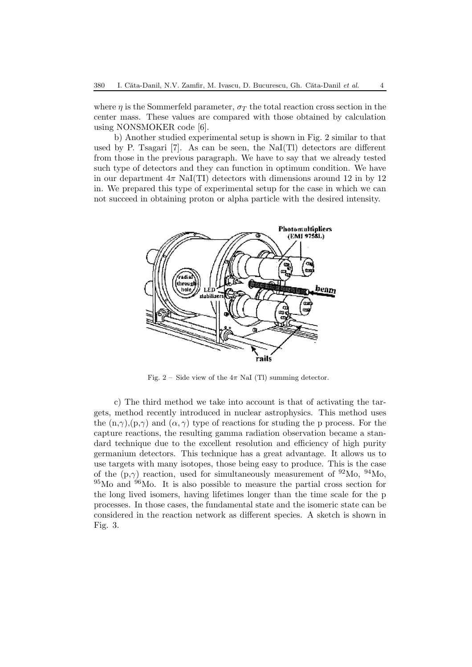where  $\eta$  is the Sommerfeld parameter,  $\sigma_T$  the total reaction cross section in the center mass. These values are compared with those obtained by calculation using NONSMOKER code [6].

b) Another studied experimental setup is shown in Fig. 2 similar to that used by P. Tsagari [7]. As can be seen, the NaI(Tl) detectors are different from those in the previous paragraph. We have to say that we already tested such type of detectors and they can function in optimum condition. We have in our department  $4\pi$  NaI(TI) detectors with dimensions around 12 in by 12 in. We prepared this type of experimental setup for the case in which we can not succeed in obtaining proton or alpha particle with the desired intensity.



Fig. 2 – Side view of the  $4\pi$  NaI (Tl) summing detector.

c) The third method we take into account is that of activating the targets, method recently introduced in nuclear astrophysics. This method uses the  $(n,\gamma)(p,\gamma)$  and  $(\alpha,\gamma)$  type of reactions for studing the p process. For the capture reactions, the resulting gamma radiation observation became a standard technique due to the excellent resolution and efficiency of high purity germanium detectors. This technique has a great advantage. It allows us to use targets with many isotopes, those being easy to produce. This is the case of the  $(p,\gamma)$  reaction, used for simultaneously measurement of <sup>92</sup>Mo, <sup>94</sup>Mo,  $95$ Mo and  $96$ Mo. It is also possible to measure the partial cross section for the long lived isomers, having lifetimes longer than the time scale for the p processes. In those cases, the fundamental state and the isomeric state can be considered in the reaction network as different species. A sketch is shown in Fig. 3.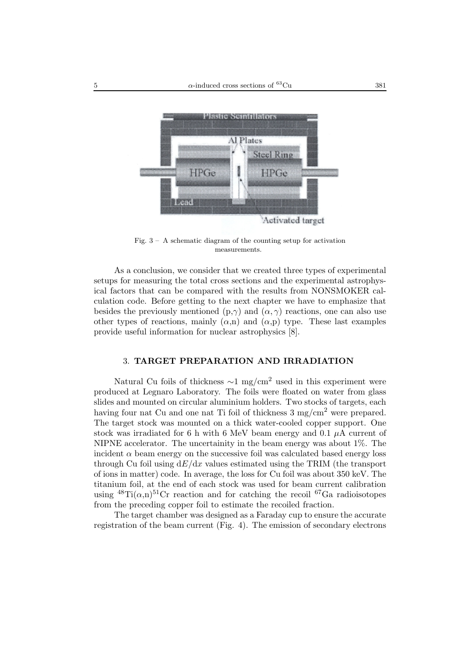

Fig.  $3 - A$  schematic diagram of the counting setup for activation measurements.

As a conclusion, we consider that we created three types of experimental setups for measuring the total cross sections and the experimental astrophysical factors that can be compared with the results from NONSMOKER calculation code. Before getting to the next chapter we have to emphasize that besides the previously mentioned (p, $\gamma$ ) and ( $\alpha$ ,  $\gamma$ ) reactions, one can also use other types of reactions, mainly  $(\alpha, n)$  and  $(\alpha, p)$  type. These last examples provide useful information for nuclear astrophysics [8].

# 3. **TARGET PREPARATION AND IRRADIATION**

Natural Cu foils of thickness  $\sim$ 1 mg/cm<sup>2</sup> used in this experiment were produced at Legnaro Laboratory. The foils were floated on water from glass slides and mounted on circular aluminium holders. Two stocks of targets, each having four nat Cu and one nat Ti foil of thickness  $3 \text{ mg/cm}^2$  were prepared. The target stock was mounted on a thick water-cooled copper support. One stock was irradiated for 6 h with 6 MeV beam energy and 0.1  $\mu$ A current of NIPNE accelerator. The uncertainity in the beam energy was about 1%. The incident  $\alpha$  beam energy on the successive foil was calculated based energy loss through Cu foil using  $dE/dx$  values estimated using the TRIM (the transport of ions in matter) code. In average, the loss for Cu foil was about 350 keV. The titanium foil, at the end of each stock was used for beam current calibration using  $^{48}$ Ti( $\alpha$ ,n)<sup>51</sup>Cr reaction and for catching the recoil <sup>67</sup>Ga radioisotopes from the preceding copper foil to estimate the recoiled fraction.

The target chamber was designed as a Faraday cup to ensure the accurate registration of the beam current (Fig. 4). The emission of secondary electrons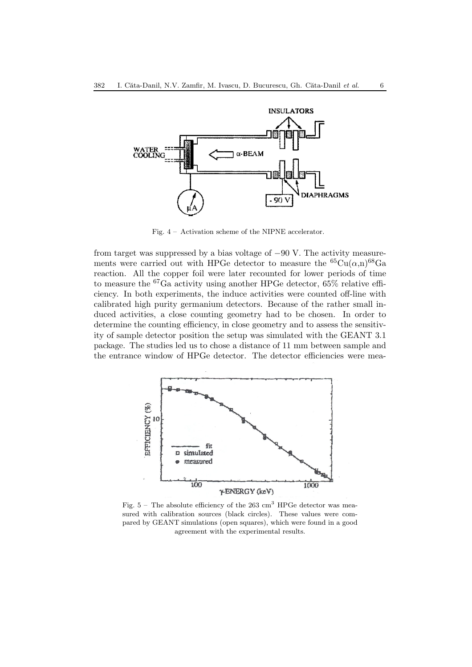

Fig. 4 – Activation scheme of the NIPNE accelerator.

from target was suppressed by a bias voltage of −90 V. The activity measurements were carried out with HPGe detector to measure the  ${}^{65}Cu(\alpha,n){}^{68}Ga$ reaction. All the copper foil were later recounted for lower periods of time to measure the <sup>67</sup>Ga activity using another HPGe detector, 65% relative efficiency. In both experiments, the induce activities were counted off-line with calibrated high purity germanium detectors. Because of the rather small induced activities, a close counting geometry had to be chosen. In order to determine the counting efficiency, in close geometry and to assess the sensitivity of sample detector position the setup was simulated with the GEANT 3.1 package. The studies led us to chose a distance of 11 mm between sample and the entrance window of HPGe detector. The detector efficiencies were mea-



Fig.  $5 -$  The absolute efficiency of the 263  $\text{cm}^3$  HPGe detector was measured with calibration sources (black circles). These values were compared by GEANT simulations (open squares), which were found in a good agreement with the experimental results.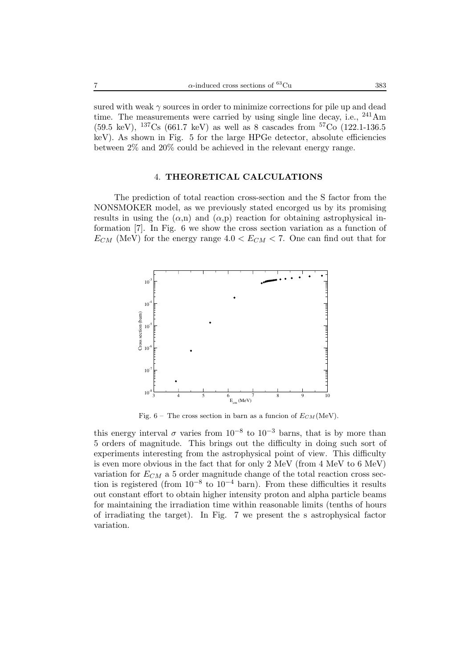sured with weak  $\gamma$  sources in order to minimize corrections for pile up and dead time. The measurements were carried by using single line decay, i.e.,  $241 \text{Am}$  $(59.5 \text{ keV})$ ,  $^{137}\text{Cs}$  (661.7 keV) as well as 8 cascades from  $^{57}\text{Co}$  (122.1-136.5) keV). As shown in Fig. 5 for the large HPGe detector, absolute efficiencies between 2% and 20% could be achieved in the relevant energy range.

# 4. **THEORETICAL CALCULATIONS**

The prediction of total reaction cross-section and the S factor from the NONSMOKER model, as we previously stated encorged us by its promising results in using the  $(\alpha, n)$  and  $(\alpha, p)$  reaction for obtaining astrophysical information [7]. In Fig. 6 we show the cross section variation as a function of  $E_{CM}$  (MeV) for the energy range  $4.0 < E_{CM} < 7$ . One can find out that for



Fig.  $6$  – The cross section in barn as a funcion of  $E_{CM}$  (MeV).

this energy interval  $\sigma$  varies from 10<sup>-8</sup> to 10<sup>-3</sup> barns, that is by more than 5 orders of magnitude. This brings out the difficulty in doing such sort of experiments interesting from the astrophysical point of view. This difficulty is even more obvious in the fact that for only 2 MeV (from 4 MeV to 6 MeV) variation for  $E_{CM}$  a 5 order magnitude change of the total reaction cross section is registered (from 10*−*<sup>8</sup> to 10*−*<sup>4</sup> barn). From these difficulties it results out constant effort to obtain higher intensity proton and alpha particle beams for maintaining the irradiation time within reasonable limits (tenths of hours of irradiating the target). In Fig. 7 we present the s astrophysical factor variation.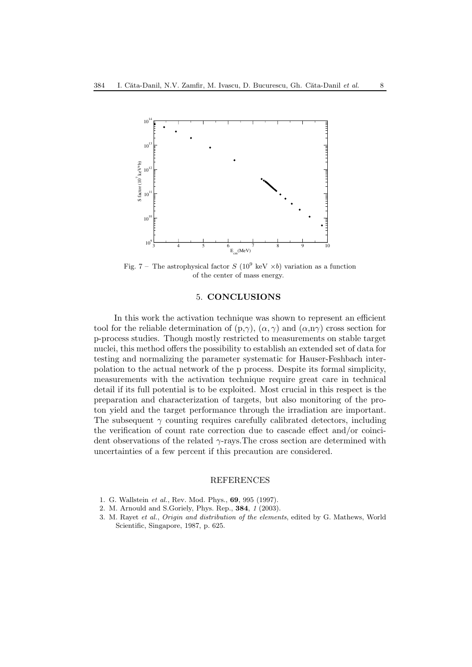

Fig. 7 – The astrophysical factor  $S(10^9 \text{ keV } \times b)$  variation as a function of the center of mass energy.

#### 5. **CONCLUSIONS**

In this work the activation technique was shown to represent an efficient tool for the reliable determination of  $(p,\gamma)$ ,  $(\alpha,\gamma)$  and  $(\alpha,n\gamma)$  cross section for p-process studies. Though mostly restricted to measurements on stable target nuclei, this method offers the possibility to establish an extended set of data for testing and normalizing the parameter systematic for Hauser-Feshbach interpolation to the actual network of the p process. Despite its formal simplicity, measurements with the activation technique require great care in technical detail if its full potential is to be exploited. Most crucial in this respect is the preparation and characterization of targets, but also monitoring of the proton yield and the target performance through the irradiation are important. The subsequent  $\gamma$  counting requires carefully calibrated detectors, including the verification of count rate correction due to cascade effect and/or coincident observations of the related  $\gamma$ -rays. The cross section are determined with uncertainties of a few percent if this precaution are considered.

#### REFERENCES

- 1. G. Wallstein *et al.*, Rev. Mod. Phys., **69**, 995 (1997).
- 2. M. Arnould and S.Goriely, Phys. Rep., **384**, *1* (2003).
- 3. M. Rayet *et al.*, *Origin and distribution of the elements*, edited by G. Mathews, World Scientific, Singapore, 1987, p. 625.